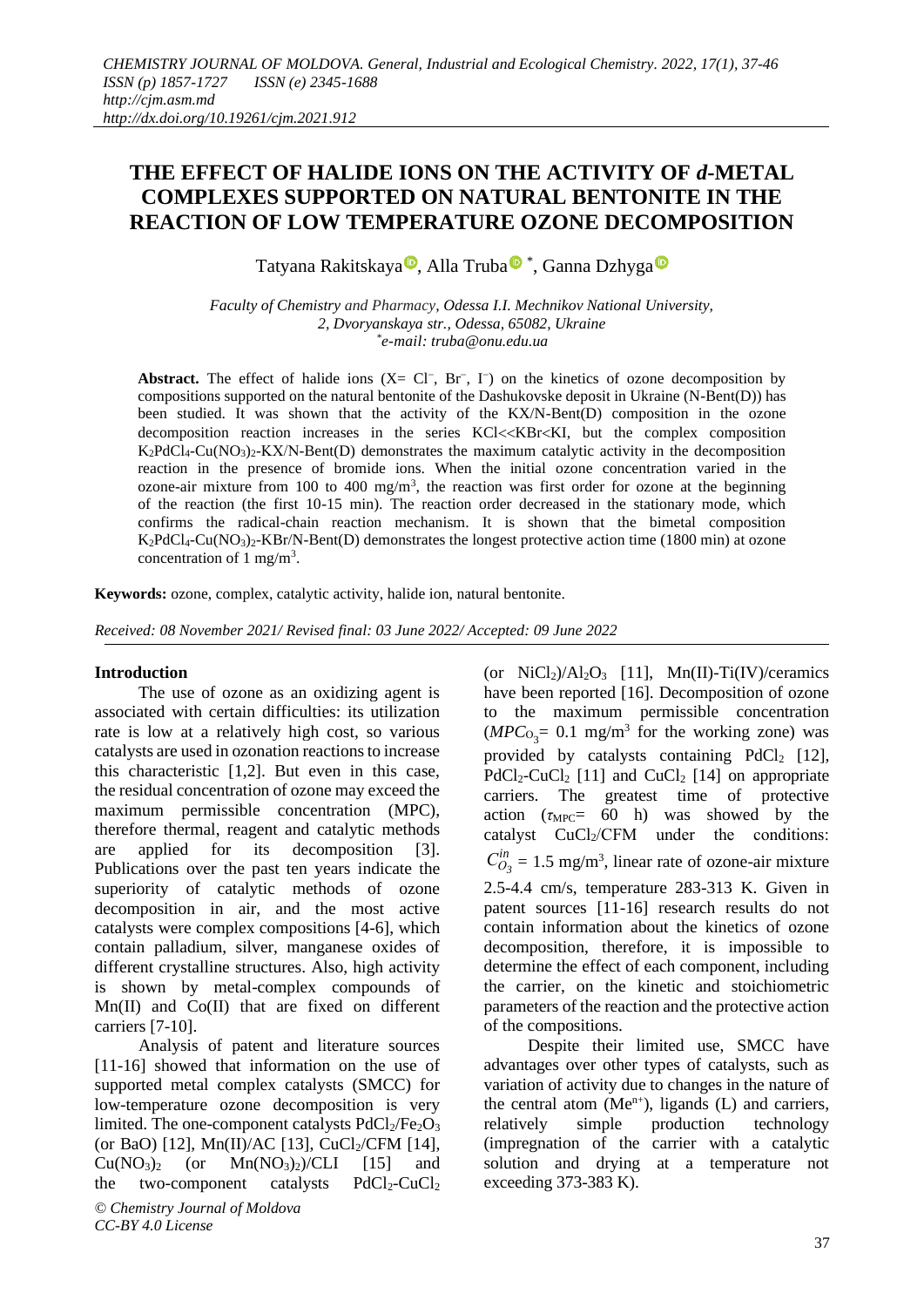## **THE EFFECT OF HALIDE IONS ON THE ACTIVITY OF** *d***-METAL COMPLEXES SUPPORTED ON NATURAL BENTONITE IN THE REACTION OF LOW TEMPERATURE OZONE DECOMPOSITION**

Tatyana Rakitskaya®[,](https://orcid.org/0000-0002-9180-0024) All[a](https://orcid.org/0000-0001-9971-7551) Truba®\*, Ganna Dzhyga

*Faculty of Chemistry and Pharmacy, Odessa I.I. Mechnikov National University, 2, Dvoryanskaya str., Odessa, 65082, Ukraine \* e-mail: truba@onu.edu.ua*

Abstract. The effect of halide ions  $(X = Cl^-, Br^-, I^-)$  on the kinetics of ozone decomposition by compositions supported on the natural bentonite of the Dashukovske deposit in Ukraine (N-Bent(D)) has been studied. It was shown that the activity of the KX/N-Bent(D) composition in the ozone decomposition reaction increases in the series KCl<<KBr<KI, but the complex composition  $K_2PdCl_4-Cu(NO_3)_2-KX/N-Bent(D)$  demonstrates the maximum catalytic activity in the decomposition reaction in the presence of bromide ions. When the initial ozone concentration varied in the ozone-air mixture from 100 to 400 mg/m<sup>3</sup>, the reaction was first order for ozone at the beginning of the reaction (the first 10-15 min). The reaction order decreased in the stationary mode, which confirms the radical-chain reaction mechanism. It is shown that the bimetal composition  $K_2PdCl_4-Cu(NO_3)$ <sup>2</sup>-KBr/N-Bent(D) demonstrates the longest protective action time (1800 min) at ozone concentration of 1 mg/m<sup>3</sup>.

**Keywords:** ozone, complex, catalytic activity, halide ion, natural bentonite.

*Received: 08 November 2021/ Revised final: 03 June 2022/ Accepted: 09 June 2022*

#### **Introduction**

The use of ozone as an oxidizing agent is associated with certain difficulties: its utilization rate is low at a relatively high cost, so various catalysts are used in ozonation reactions to increase this characteristic [1,2]. But even in this case, the residual concentration of ozone may exceed the maximum permissible concentration (MPC), therefore thermal, reagent and catalytic methods are applied for its decomposition [3]. Publications over the past ten years indicate the superiority of catalytic methods of ozone decomposition in air, and the most active catalysts were complex compositions [4-6], which contain palladium, silver, manganese oxides of different crystalline structures. Also, high activity is shown by metal-complex compounds of Mn(II) and Co(II) that are fixed on different carriers [7-10].

*© Chemistry Journal of Moldova* Analysis of patent and literature sources [11-16] showed that information on the use of supported metal complex catalysts (SMCC) for low-temperature ozone decomposition is very limited. The one-component catalysts  $PdCl<sub>2</sub>/Fe<sub>2</sub>O<sub>3</sub>$ (or BaO) [12], Mn(II)/AC [13], CuCl<sub>2</sub>/CFM [14],  $Cu(NO<sub>3</sub>)<sub>2</sub>$  (or  $Mn(NO<sub>3</sub>)<sub>2</sub>)/CLI$  [15] and the two-component catalysts  $PdCl_2-CuCl_2$ 

 $(MPC<sub>O3</sub>= 0.1$  mg/m<sup>3</sup> for the working zone) was provided by catalysts containing  $PdCl<sub>2</sub>$  [12],  $PdCl_2-CuCl_2$  [11] and  $CuCl_2$  [14] on appropriate carriers. The greatest time of protective action ( $\tau_{\text{MPC}}$  60 h) was showed by the catalyst CuCl<sub>2</sub>/CFM under the conditions: *in*  $C_{O_3}^{in} = 1.5$  mg/m<sup>3</sup>, linear rate of ozone-air mixture 2.5-4.4 cm/s, temperature 283-313 K. Given in patent sources [11-16] research results do not contain information about the kinetics of ozone decomposition, therefore, it is impossible to determine the effect of each component, including the carrier, on the kinetic and stoichiometric parameters of the reaction and the protective action of the compositions. Despite their limited use, SMCC have advantages over other types of catalysts, such as variation of activity due to changes in the nature of

(or  $NiCl<sub>2</sub>)/Al<sub>2</sub>O<sub>3</sub>$  [11], Mn(II)-Ti(IV)/ceramics have been reported [16]. Decomposition of ozone to the maximum permissible concentration

the central atom  $(Me^{n+})$ , ligands  $(L)$  and carriers, relatively simple production technology (impregnation of the carrier with a catalytic solution and drying at a temperature not exceeding 373-383 K).

*CC-BY 4.0 License*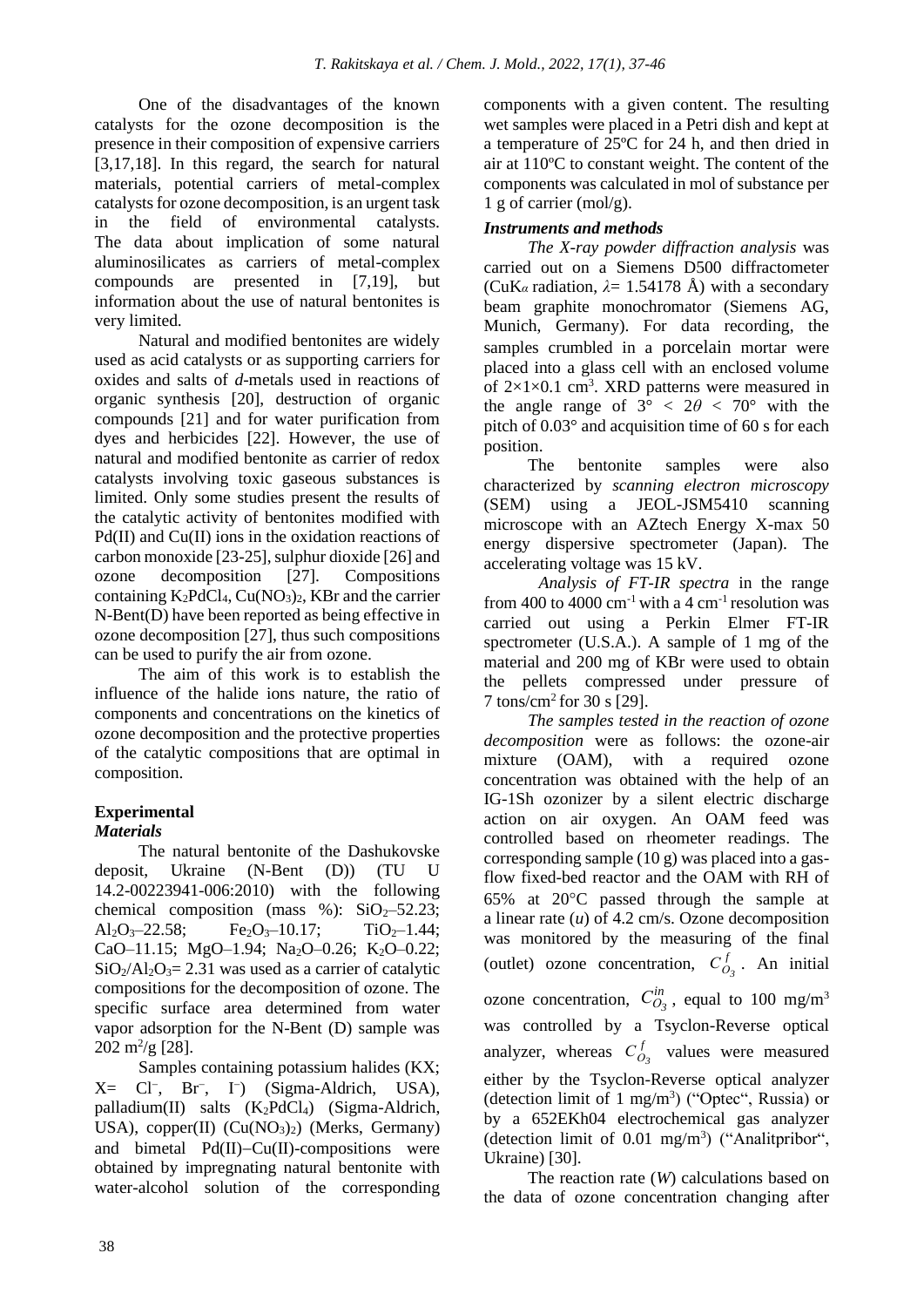One of the disadvantages of the known catalysts for the ozone decomposition is the presence in their composition of expensive carriers [3,17,18]. In this regard, the search for natural materials, potential carriers of metal-complex catalysts for ozone decomposition, is an urgent task in the field of environmental catalysts. The data about implication of some natural aluminosilicates as carriers of metal-complex compounds are presented in [7,19], but information about the use of natural bentonites is very limited.

Natural and modified bentonites are widely used as acid catalysts or as supporting carriers for oxides and salts of *d*-metals used in reactions of organic synthesis [20], destruction of organic compounds [21] and for water purification from dyes and herbicides [22]. However, the use of natural and modified bentonite as carrier of redox catalysts involving toxic gaseous substances is limited. Only some studies present the results of the catalytic activity of bentonites modified with Pd(II) and Cu(II) ions in the oxidation reactions of carbon monoxide [23-25], sulphur dioxide [26] and ozone decomposition [27]. Compositions containing  $K_2PdCl_4$ ,  $Cu(NO_3)_2$ , KBr and the carrier N-Bent(D) have been reported as being effective in ozone decomposition [27], thus such compositions can be used to purify the air from ozone.

The aim of this work is to establish the influence of the halide ions nature, the ratio of components and concentrations on the kinetics of ozone decomposition and the protective properties of the catalytic compositions that are optimal in composition.

# **Experimental**

## *Materials*

The natural bentonite of the Dashukovske deposit, Ukraine (N-Bent (D)) (TU U 14.2-00223941-006:2010) with the following chemical composition (mass %):  $SiO<sub>2</sub> - 52.23$ ; Al<sub>2</sub>O<sub>3</sub>-22.58; Fe<sub>2</sub>O<sub>3</sub>-10.17; TiO<sub>2</sub>-1.44; CaO-11.15; MgO-1.94; Na<sub>2</sub>O-0.26; K<sub>2</sub>O-0.22;  $SiO<sub>2</sub>/Al<sub>2</sub>O<sub>3</sub>= 2.31$  was used as a carrier of catalytic compositions for the decomposition of ozone. The specific surface area determined from water vapor adsorption for the N-Bent (D) sample was  $202 \text{ m}^2\text{/g}$  [28].

Samples containing potassium halides (KX; X= Cl<sup>−</sup> , Br<sup>−</sup> , I<sup>−</sup> ) (Sigma-Aldrich, USA), palladium(II) salts  $(K_2PdCl_4)$  (Sigma-Aldrich, USA),  $copper(II)$   $(Cu(NO<sub>3</sub>)<sub>2</sub>)$  (Merks, Germany) and bimetal Pd(II)−Cu(II)-compositions were obtained by impregnating natural bentonite with water-alcohol solution of the corresponding

components with a given content. The resulting wet samples were placed in a Petri dish and kept at a temperature of 25ºC for 24 h, and then dried in air at 110ºC to constant weight. The content of the components was calculated in mol of substance per  $1 \text{ g}$  of carrier (mol/g).

## *Instruments and methods*

*The X-ray powder diffraction analysis* was carried out on a Siemens D500 diffractometer (CuK<sub>α</sub> radiation,  $\lambda = 1.54178$  Å) with a secondary beam graphite monochromator (Siemens AG, Munich, Germany). For data recording, the samples crumbled in a porcelain mortar were placed into a glass cell with an enclosed volume of  $2\times1\times0.1$  cm<sup>3</sup>. XRD patterns were measured in the angle range of  $3^{\circ} < 2\theta < 70^{\circ}$  with the pitch of 0.03° and acquisition time of 60 s for each position.

The bentonite samples were also characterized by *scanning electron microscopy* (SEM) using a JEOL-JSM5410 scanning microscope with an AZtech Energy X-max 50 energy dispersive spectrometer (Japan). The accelerating voltage was 15 kV.

*Analysis of FT-IR spectra* in the range from 400 to 4000  $cm^{-1}$  with a 4  $cm^{-1}$  resolution was carried out using a Perkin Elmer FT-IR spectrometer (U.S.A.). A sample of 1 mg of the material and 200 mg of KBr were used to obtain the pellets compressed under pressure of 7 tons/cm<sup>2</sup> for 30 s [29].

*The samples tested in the reaction of ozone decomposition* were as follows: the ozone-air mixture (OAM), with a required ozone concentration was obtained with the help of an IG-1Sh ozonizer by a silent electric discharge action on air oxygen. An OAM feed was controlled based on rheometer readings. The corresponding sample (10 g) was placed into a gasflow fixed-bed reactor and the OAM with RH of  $65\%$  at  $20^{\circ}$ C passed through the sample at a linear rate (*u*) of 4.2 cm/s. Ozone decomposition was monitored by the measuring of the final *f* (outlet) ozone concentration,  $C_{O_3}^f$ . An initial *in* ozone concentration,  $C_{O_3}^m$ , equal to 100 mg/m<sup>3</sup> was controlled by a Tsyclon-Reverse optical *f* analyzer, whereas  $C_{O_3}^t$  values were measured either by the Tsyclon-Reverse optical analyzer (detection limit of  $1 \text{ mg/m}^3$ ) ("Optec", Russia) or by a 652EKh04 electrochemical gas analyzer (detection limit of 0.01 mg/m<sup>3</sup> ) ("Analitpribor", Ukraine) [30].

The reaction rate (*W*) calculations based on the data of ozone concentration changing after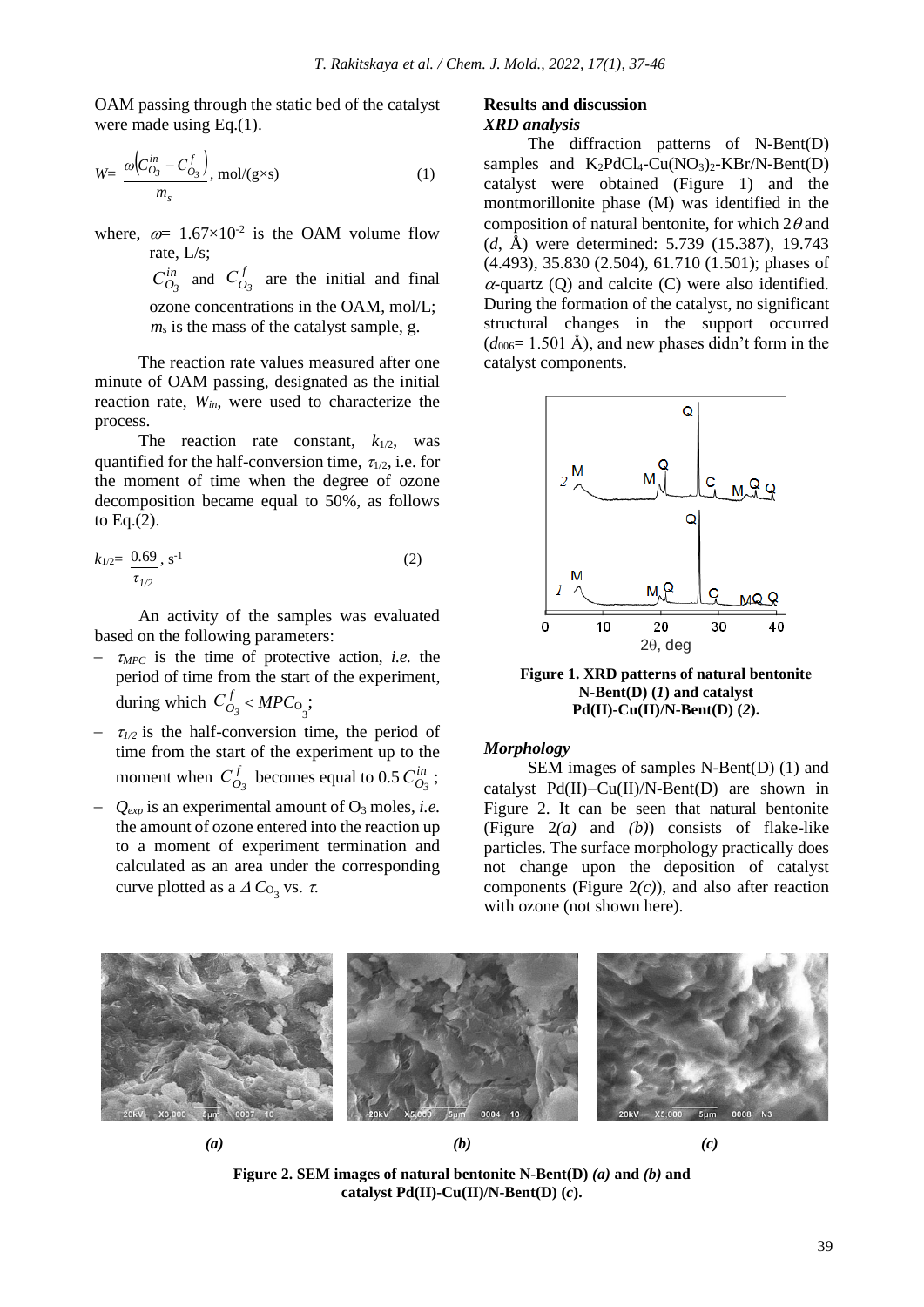OAM passing through the static bed of the catalyst were made using Eq.(1).

$$
W = \frac{\omega \left( C_{O_3}^{in} - C_{O_3}^f \right)}{m_s}, \text{mol/(g \times s)}
$$
 (1)

where,  $\omega = 1.67 \times 10^{-2}$  is the OAM volume flow rate, L/s; *in*

 $C_{O_3}^{in}$  and  $C_{O_3}^{f}$  $C_{O_3}^f$  are the initial and final ozone concentrations in the OAM, mol/L; *m*<sup>s</sup> is the mass of the catalyst sample, g.

The reaction rate values measured after one minute of OAM passing, designated as the initial reaction rate, *Win*, were used to characterize the process.

The reaction rate constant,  $k_{1/2}$ , was quantified for the half-conversion time,  $\tau_{1/2}$ , i.e. for the moment of time when the degree of ozone decomposition became equal to 50%, as follows to Eq.(2).

$$
k_{1/2} = \frac{0.69}{\tau_{1/2}}, \, s^{-1} \tag{2}
$$

An activity of the samples was evaluated based on the following parameters:

- − *MPC* is the time of protective action, *i.e.* the period of time from the start of the experiment, *f* during which  $C_{O_3}^f$  <  $MPC_{O_3}$ ;
- $\tau_{1/2}$  is the half-conversion time, the period of time from the start of the experiment up to the *f*  $C_{O_3}^f$  becomes equal to 0.5  $C_{O_3}^{in}$ moment when  $C_{O_3}^J$  becomes equal to 0.5  $C_{O_3}^m$ ;
- − *Qexp* is an experimental amount of O<sup>3</sup> moles, *i.e.* the amount of ozone entered into the reaction up to a moment of experiment termination and calculated as an area under the corresponding curve plotted as a  $\Delta C_{\text{O}_3}$  vs.  $\tau$ .

#### **Results and discussion** *XRD analysis*

The diffraction patterns of N-Bent(D) samples and  $K_2PdCl_4-Cu(NO_3)_2-KBr/N-Bent(D)$ catalyst were obtained (Figure 1) and the montmorillonite phase (М) was identified in the composition of natural bentonite, for which  $2\theta$  and (*d*, Å) were determined: 5.739 (15.387), 19.743 (4.493), 35.830 (2.504), 61.710 (1.501); phases of  $\alpha$ -quartz (Q) and calcite (C) were also identified. During the formation of the catalyst, no significant structural changes in the support occurred  $(d_{006}= 1.501 \text{ Å})$ , and new phases didn't form in the catalyst components.



**Figure 1. XRD patterns of natural bentonitе N-Bent(D) (***1***) and catalyst Pd(II)-Cu(II)/N-Bent(D) (***2***).**

#### *Morphology*

SEM images of samples N-Bent(D) (1) and catalyst Pd(II)−Cu(II)/N-Bent(D) are shown in Figure 2. It can be seen that natural bentonite (Figure 2*(a)* and *(b)*) consists of flake-like particles. The surface morphology practically does not change upon the deposition of catalyst components (Figure 2*(c)*), and also after reaction with ozone (not shown here).





**Figure 2. SEM images of natural bentonite N-Bent(D)** *(a)* **and** *(b)* **and catalyst Pd(II)-Cu(II)/N-Bent(D) (***c***).**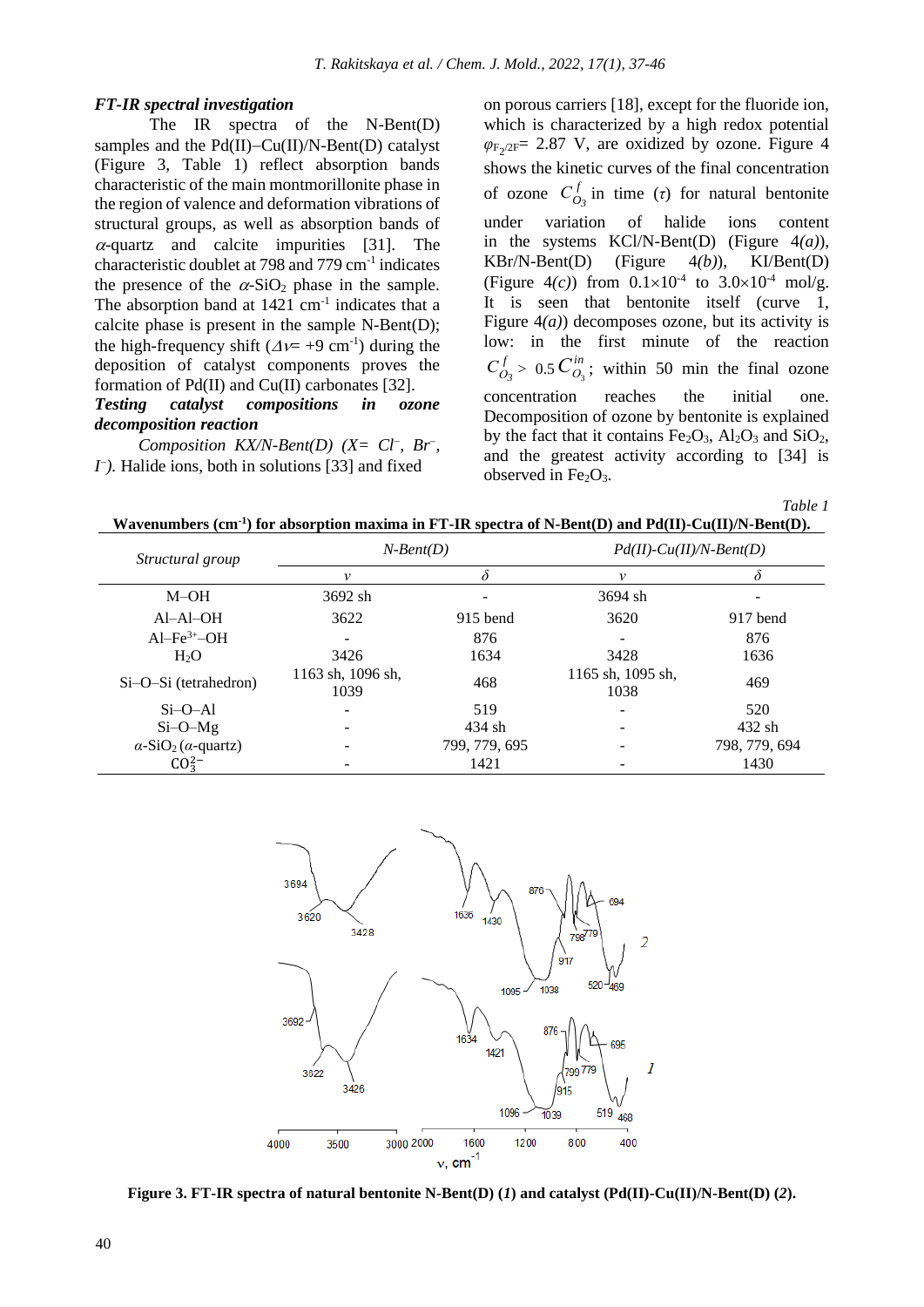#### *FT-IR spectral investigation*

The IR spectra of the N-Bent(D) samples and the Pd(II)−Cu(II)/N-Bent(D) catalyst (Figure 3, Table 1) reflect absorption bands characteristic of the main montmorillonite phase in the region of valence and deformation vibrations of structural groups, as well as absorption bands of  $\alpha$ -quartz and calcite impurities [31]. The characteristic doublet at 798 and 779 cm-1 indicates the presence of the  $\alpha$ -SiO<sub>2</sub> phase in the sample. The absorption band at  $1421 \text{ cm}^{-1}$  indicates that a calcite phase is present in the sample N-Bent(D); the high-frequency shift ( $\Delta v = +9$  cm<sup>-1</sup>) during the deposition of catalyst components proves the formation of Pd(II) and Cu(II) carbonates [32].

#### *Testing catalyst compositions in ozone decomposition reaction*

*Composition KX/N-Bent(D)* ( $X = Cl^-$ ,  $Br^-$ , *I*<sup>−</sup>). Halide ions, both in solutions [33] and fixed

on porous carriers [18], except for the fluoride ion, which is characterized by a high redox potential  $\varphi_{F_2/2F}$  2.87 V, are oxidized by ozone. Figure 4 shows the kinetic curves of the final concentration *f* of ozone  $C_{O_3}^f$  in time (*τ*) for natural bentonite under variation of halide ions content in the systems KCl/N-Bent(D) (Figure 4*(a)*), KBr/N-Bent(D) (Figure 4*(b)*), KI/Bent(D) (Figure 4(c)) from  $0.1 \times 10^{-4}$  to  $3.0 \times 10^{-4}$  mol/g. It is seen that bentonite itself (curve 1, Figure 4*(a)*) decomposes ozone, but its activity is low: in the first minute of the reaction *f*  $C_{O_3}^f > 0.5 C_{O_3}^{in}$ ; within 50 min the final ozone concentration reaches the initial one. Decomposition of ozone by bentonite is explained by the fact that it contains  $Fe<sub>2</sub>O<sub>3</sub>$ , Al<sub>2</sub>O<sub>3</sub> and SiO<sub>2</sub>, and the greatest activity according to [34] is

*Table 1*



observed in Fe<sub>2</sub>O<sub>3</sub>.

| Structural group                               | $N-Bent(D)$               |               | $Pd(II)$ -Cu(II)/N-Bent(D) |               |  |
|------------------------------------------------|---------------------------|---------------|----------------------------|---------------|--|
|                                                | v                         |               | v                          | δ             |  |
| $M-OH$                                         | 3692 sh                   |               | $3694$ sh                  |               |  |
| $AI-AI-OH$                                     | 3622                      | $915$ bend    | 3620                       | 917 bend      |  |
| $Al-Fe3+-OH$                                   |                           | 876           |                            | 876           |  |
| H <sub>2</sub> O                               | 3426                      | 1634          | 3428                       | 1636          |  |
| $Si-O-Si$ (tetrahedron)                        | 1163 sh, 1096 sh,<br>1039 | 468           | 1165 sh, 1095 sh,<br>1038  | 469           |  |
| $Si-O–Al$                                      |                           | 519           |                            | 520           |  |
| $Si-O-Mg$                                      |                           | 434 sh        |                            | 432 sh        |  |
| $\alpha$ -SiO <sub>2</sub> ( $\alpha$ -quartz) |                           | 799, 779, 695 |                            | 798, 779, 694 |  |
| $CO_3^{2-}$                                    |                           | 1421          |                            | 1430          |  |



**Figure 3. FT-IR spectra of natural bentonite N-Bent(D) (***1***) and catalyst (Pd(II)-Cu(II)/N-Bent(D) (***2***).**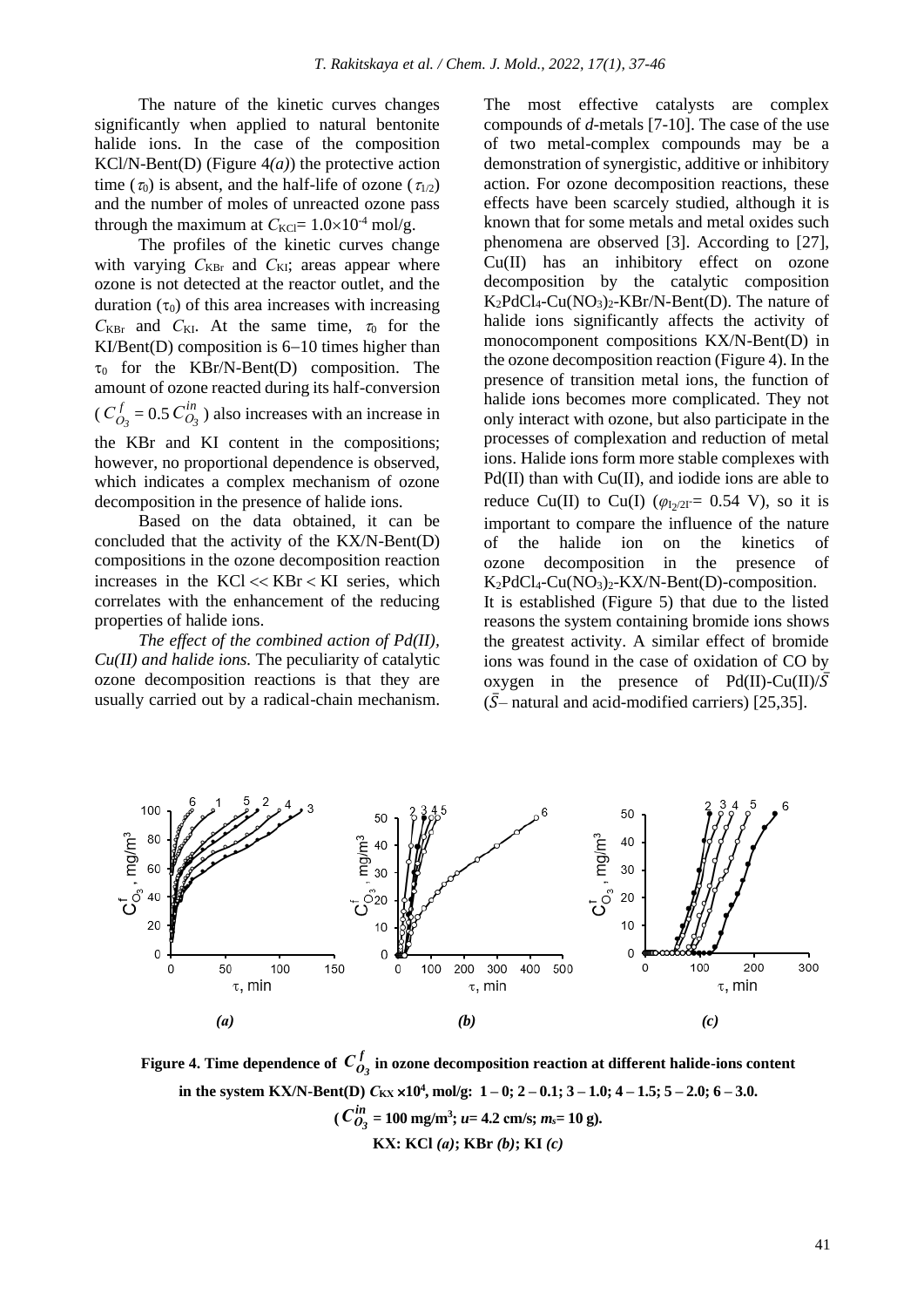The nature of the kinetic curves changes significantly when applied to natural bentonite halide ions. In the case of the composition KCl/N-Bent(D) (Figure 4*(a)*) the protective action time ( $\tau_0$ ) is absent, and the half-life of ozone ( $\tau_{1/2}$ ) and the number of moles of unreacted ozone pass through the maximum at  $C_{\text{KCI}} = 1.0 \times 10^{-4}$  mol/g.

The profiles of the kinetic curves change with varying  $C_{KBr}$  and  $C_{KI}$ ; areas appear where ozone is not detected at the reactor outlet, and the duration  $(\tau_0)$  of this area increases with increasing  $C_{KBr}$  and  $C_{KI}$ . At the same time,  $\tau_0$  for the KI/Bent(D) composition is 6−10 times higher than  $\tau_0$  for the KBr/N-Bent(D) composition. The amount of ozone reacted during its half-conversion *f*  $C_{O_3}^f = 0.5 C_{O_3}^{in}$  $(C_{O_3}^f = 0.5 C_{O_3}^m)$  also increases with an increase in the KBr and KI content in the compositions; however, no proportional dependence is observed, which indicates a complex mechanism of ozone decomposition in the presence of halide ions.

Based on the data obtained, it can be concluded that the activity of the KX/N-Bent(D) compositions in the ozone decomposition reaction increases in the  $KCl \ll KBr \ll KI$  series, which correlates with the enhancement of the reducing properties of halide ions.

*The effect of the combined action of Pd(II), Cu(II) and halide ions.* The peculiarity of catalytic ozone decomposition reactions is that they are usually carried out by a radical-chain mechanism. The most effective catalysts are complex compounds of *d*-metals [7-10]. The case of the use of two metal-complex compounds may be a demonstration of synergistic, additive or inhibitory action. For ozone decomposition reactions, these effects have been scarcely studied, although it is known that for some metals and metal oxides such phenomena are observed [3]. According to [27], Cu(II) has an inhibitory effect on ozone decomposition by the catalytic composition  $K_2PdCl_4$ -Cu(NO<sub>3</sub>)<sub>2</sub>-KBr/N-Bent(D). The nature of halide ions significantly affects the activity of monocomponent compositions KX/N-Bent(D) in the ozone decomposition reaction (Figure 4). In the presence of transition metal ions, the function of halide ions becomes more complicated. They not only interact with ozone, but also participate in the processes of complexation and reduction of metal ions. Halide ions form more stable complexes with  $Pd(II)$  than with  $Cu(II)$ , and iodide ions are able to reduce Cu(II) to Cu(I)  $(\varphi_{I_2/2I} = 0.54 \text{ V})$ , so it is important to compare the influence of the nature of the halide ion on the kinetics of ozone decomposition in the presence of  $K_2PdCl_4-Cu(NO_3)_2-KX/N-Bent(D)$ -composition. It is established (Figure 5) that due to the listed reasons the system containing bromide ions shows the greatest activity. A similar effect of bromide ions was found in the case of oxidation of CO by oxygen in the presence of  $Pd(II)$ -Cu(II)/ $\overline{S}$  $({\bar S}$ – natural and acid-modified carriers) [25,35].



Figure 4. Time dependence of  $C_{\alpha}^f$  $C_{O_3}^f$  in ozone decomposition reaction at different halide-ions content **in the system KX/N-Bent(D)**  $C_{\text{K}X} \times 10^4$ , mol/g: 1 − 0; 2 − 0.1; 3 − 1.0; 4 − 1.5; 5 − 2.0; 6 − 3.0.  $(C_{\mathbf{0}_i}^{in}$  $C_{O_3}^{in} = 100$  mg/m<sup>3</sup>; *u*= 4.2 cm/s; *m<sub>s</sub>*= 10 g). **KХ: KCl** *(а)***; KBr** *(b)***; KI** *(c)*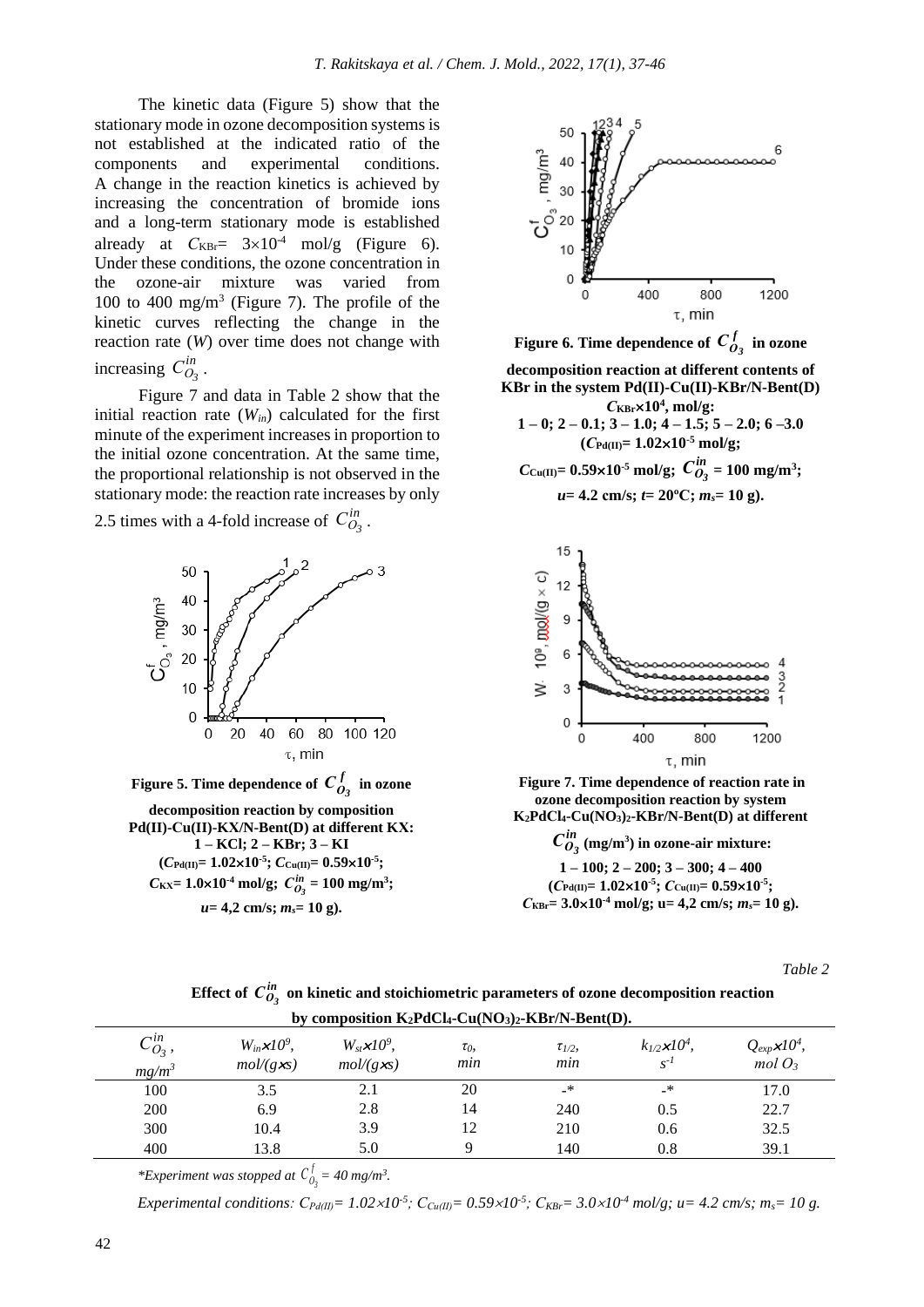The kinetic data (Figure 5) show that the stationary mode in ozone decomposition systems is not established at the indicated ratio of the components and experimental conditions. A change in the reaction kinetics is achieved by increasing the concentration of bromide ions and a long-term stationary mode is established already at  $C_{KBr} = 3 \times 10^{-4}$  mol/g (Figure 6). Under these conditions, the ozone concentration in the ozone-air mixture was varied from 100 to 400 mg/m<sup>3</sup> (Figure 7). The profile of the kinetic curves reflecting the change in the reaction rate (*W*) over time does not change with increasing  $C_{O}^{in}$  $C_{O_3}^{\prime n}$ .

Figure 7 and data in Table 2 show that the initial reaction rate  $(W_{in})$  calculated for the first minute of the experiment increases in proportion to the initial ozone concentration. At the same time, the proportional relationship is not observed in the stationary mode: the reaction rate increases by only

2.5 times with a 4-fold increase of  $C_{Q}^{in}$  $C_{O_3}^{\prime n}$ .



Figure 5. Time dependence of  $C_{\alpha}^f$  $C_{O_3}^f$  in ozone **decomposition reaction by composition Pd(II)-Сu(II)-KХ/N-Bent(D) at different KХ: 1 – KCl; 2 – KBr; 3 – KI**   $(C_{\text{Pd(II)}} = 1.02 \times 10^{-5}; C_{\text{Cu(II)}} = 0.59 \times 10^{-5};$  $C_{\text{KX}} = 1.0 \times 10^{-4} \text{ mol/g}; C_{O_3}^{in} = 100 \text{ mg/m}^3;$ *u***= 4,2 cm/s;** *ms***= 10 g).**



**Figure 6. Time dependence of**  $C^f_G$  $C_{O_3}^J$  in ozone **decomposition reaction at different contents of KBr in the system Pd(II)-Сu(II)-KBr/N-Bent(D)**  *С***KBr10<sup>4</sup> , mol/g: 1 – 0; 2 – 0.1; 3 – 1.0; 4 – 1.5; 5 – 2.0; 6 –3.0**  $(C_{Pd(II)} = 1.02 \times 10^{-5} \text{ mol/g};$  $C_{\text{Cu(II)}} = 0.59 \times 10^{-5} \text{ mol/g}; C_{Q_2}^{in}$  $C_{O_3}^{in} = 100$  mg/m<sup>3</sup>;  $u=4.2$  cm/s;  $t=20^{\circ}$ C;  $m_s=10$  g).



**Figure 7. Time dependence of reaction rate in ozone decomposition reaction by system K2PdСl4-Cu(NO3)2-KBr/N-Bent(D) at different** 

*in*  $C_{O_3}^{in}$  (mg/m<sup>3</sup>) in ozone-air mixture: **1 – 100; 2 – 200; 3 – 300; 4 – 400**  $(C_{Pd(II)} = 1.02 \times 10^{-5}; C_{Cu(II)} = 0.59 \times 10^{-5};$  $C_{KBr} = 3.0 \times 10^{-4}$  mol/g; u= 4,2 cm/s;  $m_s = 10$  g).

*Table 2*

Effect of  $\,C^{in}_{O_3}\,$  on kinetic and stoichiometric parameters of ozone decomposition reaction

|                              | by composition $K_2PdCl_4$ -Cu(NO <sub>3</sub> ) <sub>2</sub> -KBr/N-Bent(D). |                                                |                 |                     |                                       |                                           |  |  |
|------------------------------|-------------------------------------------------------------------------------|------------------------------------------------|-----------------|---------------------|---------------------------------------|-------------------------------------------|--|--|
| $C^{in}_{O_3}$ ,<br>$mg/m^3$ | $W_{in} \times 10^9$ ,<br>$mol/(g\chi s)$                                     | $W_{st} \times 10^9$ ,<br>$mol/(g\mathbf{x}s)$ | $\tau_0$<br>min | $\tau_{1/2}$<br>min | $k_{1/2}$ $\times 10^4$ ,<br>$S^{-1}$ | $Q_{exp}$ x10 <sup>4</sup> ,<br>$mol O_3$ |  |  |
| 100                          | 3.5                                                                           | 2.1                                            | 20              | _*                  | _*                                    | 17.0                                      |  |  |
| 200                          | 6.9                                                                           | 2.8                                            | 14              | 240                 | 0.5                                   | 22.7                                      |  |  |
| 300                          | 10.4                                                                          | 3.9                                            | 12              | 210                 | 0.6                                   | 32.5                                      |  |  |
| 400                          | 13.8                                                                          | 5.0                                            |                 | 140                 | 0.8                                   | 39.1                                      |  |  |

\**Experiment was stopped at*  $C_0^f$  $C_{\theta_3}^{\prime} = 40$  mg/m<sup>3</sup>.

Experimental conditions:  $C_{Pd(II)} = 1.02 \times 10^{-5}$ ;  $C_{Cu(II)} = 0.59 \times 10^{-5}$ ;  $C_{KBr} = 3.0 \times 10^{-4}$  mol/g;  $u = 4.2$  cm/s;  $m_s = 10$  g.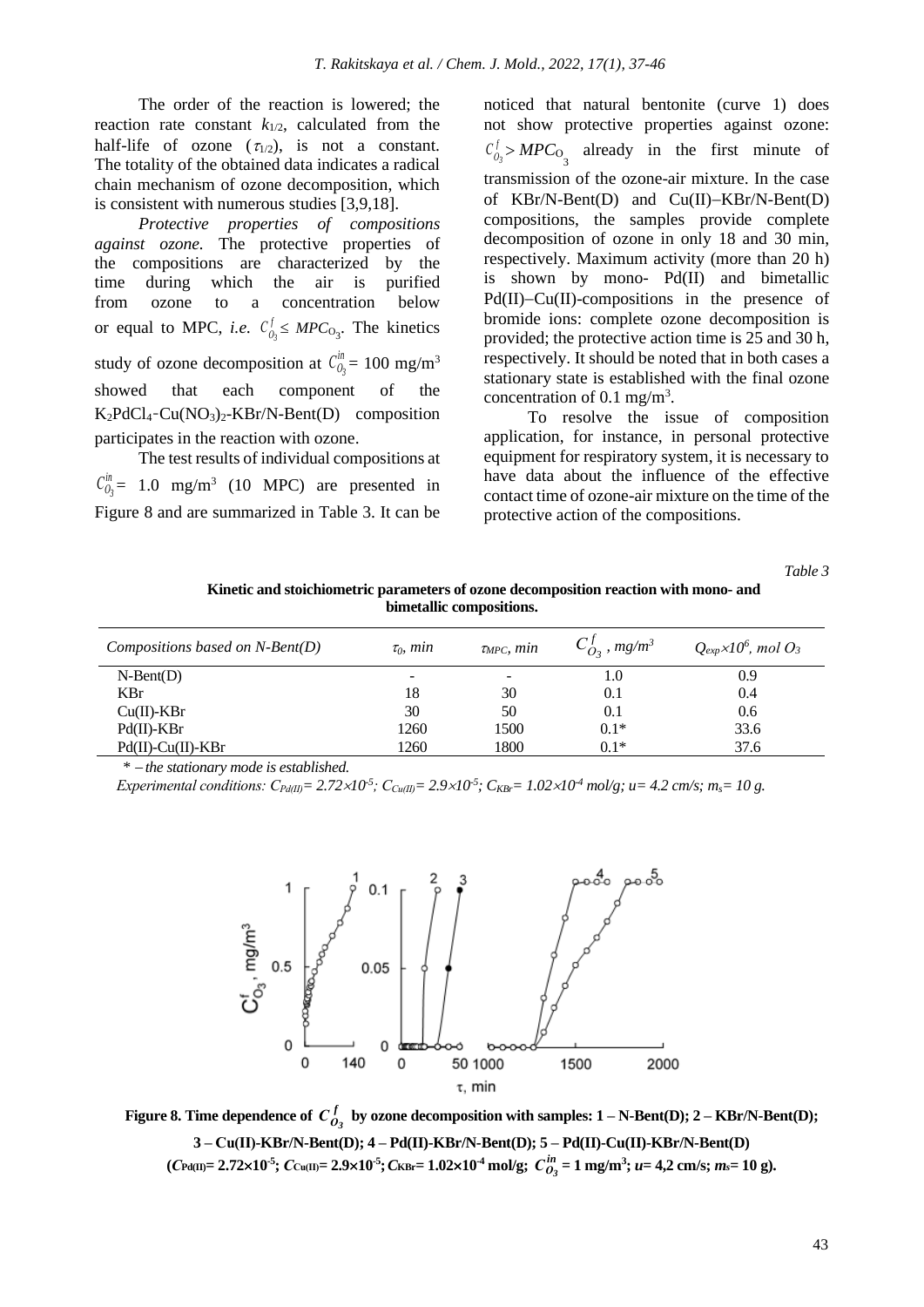The order of the reaction is lowered; the reaction rate constant  $k_{1/2}$ , calculated from the half-life of ozone  $(\tau_{1/2})$ , is not a constant. The totality of the obtained data indicates a radical chain mechanism of ozone decomposition, which is consistent with numerous studies [3,9,18].

*Protective properties of compositions against ozone.* The protective properties of the compositions are characterized by the time during which the air is purified from ozone to a concentration below *f* or equal to MPC, *i.e.*  $C_{0_3}^{\dagger} \leq MPC_{0_3}$ . The kinetics *in* study of ozone decomposition at  $C_{0}^{m} = 100$  mg/m<sup>3</sup> showed that each component of the  $K_2PdCl_4-Cu(NO_3)_2-KBr/N-Bent(D)$  composition participates in the reaction with ozone.

The test results of individual compositions at *in*  $C_{0}^{m}$  = 1.0 mg/m<sup>3</sup> (10 MPC) are presented in Figure 8 and are summarized in Table 3. It can be noticed that natural bentonite (curve 1) does not show protective properties against ozone: *f*  $C_{0_3}^f > MPC$ <sub>0</sub> already in the first minute of transmission of the ozone-air mixture. In the case of KBr/N-Bent(D) and Cu(II)−KBr/N-Bent(D) compositions, the samples provide complete decomposition of ozone in only 18 and 30 min, respectively. Maximum activity (more than 20 h) is shown by mono- Pd(II) and bimetallic Pd(II)−Cu(II)-compositions in the presence of bromide ions: complete ozone decomposition is provided; the protective action time is 25 and 30 h, respectively. It should be noted that in both cases a stationary state is established with the final ozone concentration of  $0.1$  mg/m<sup>3</sup>.

To resolve the issue of composition application, for instance, in personal protective equipment for respiratory system, it is necessary to have data about the influence of the effective contact time of ozone-air mixture on the time of the protective action of the compositions.

*Table 3*

**Kinetic and stoichiometric parameters of ozone decomposition reaction with mono- and bimetallic compositions.**

| Compositions based on $N$ -Bent(D) | $\tau_0$ , min           | $\tau_{\text{MPC}}$ , min | $C_{O_3}^J$ , mg/m <sup>3</sup> | $Q_{exp} \times 10^6$ , mol $O_3$ |
|------------------------------------|--------------------------|---------------------------|---------------------------------|-----------------------------------|
| $N-Bent(D)$                        | $\overline{\phantom{a}}$ | $\overline{\phantom{a}}$  | 1.0                             | 0.9                               |
| <b>KBr</b>                         | 18                       | 30                        | 0.1                             | 0.4                               |
| $Cu(II)$ -KBr                      | 30                       | 50                        | 0.1                             | 0.6                               |
| $Pd(II)$ -KBr                      | 1260                     | 1500                      | $0.1*$                          | 33.6                              |
| $Pd(II)$ -Cu(II)-KBr               | 1260                     | 1800                      | $0.1*$                          | 37.6                              |

*\** <sup>−</sup> *the stationary mode is established.*

Experimental conditions:  $C_{Pd(II)} = 2.72 \times 10^5$ ;  $C_{Cu(II)} = 2.9 \times 10^5$ ;  $C_{KBr} = 1.02 \times 10^4$  mol/g;  $u = 4.2$  cm/s;  $m_s = 10$  g.



**Figure 8. Time dependence of**  $C^f_a$  $C_{O_3}^J$  by ozone decomposition with samples:  $1 - N\text{-Bent}(D)$ ;  $2 - \text{KBr/N-Bent}(D)$ ; **3 – Сu(II)-KBr/N-Bent(D); 4 – Pd(II)-KBr/N-Bent(D); 5 – Pd(II)-Cu(II)-KBr/N-Bent(D)**  $(C_{\text{Pd(II)}}=2.72\times10^{-5}; C_{\text{Cu(II)}}=2.9\times10^{-5}; C_{\text{KBr}}=1.02\times10^{-4}\text{ mol/g}; C_{O_3}^{in}=1\text{ mg/m}^3; u=4,2\text{ cm/s}; m_s=10\text{ g}).$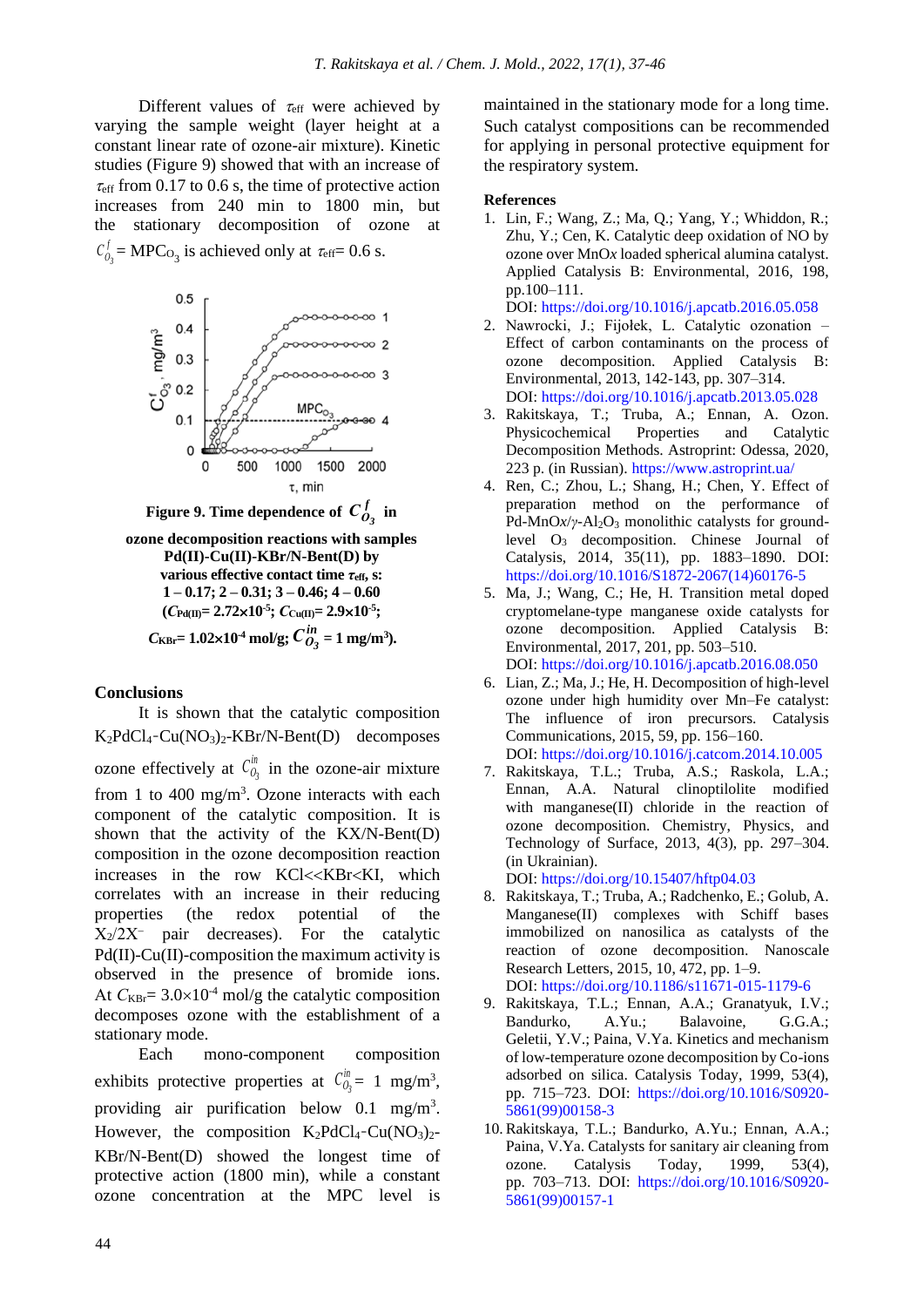Different values of  $\tau_{\text{eff}}$  were achieved by varying the sample weight (layer height at a constant linear rate of ozone-air mixture). Kinetic studies (Figure 9) showed that with an increase of  $\tau_{\rm eff}$  from 0.17 to 0.6 s, the time of protective action increases from 240 min to 1800 min, but the stationary decomposition of ozone at *f*  $C_{0_3}^J$  = MPC<sub>O<sub>3</sub></sub> is achieved only at  $\tau_{\text{eff}}$  = 0.6 s.



**Figure 9. Time dependence of**  $C^f_a$  $C_{O_3}^J$  in

```
ozone decomposition reactions with samples
 Pd(II)-Cu(II)-KBr/N-Bent(D) by 
various effective contact time τeff, s: 
 1 – 0.17; 2 – 0.31; 3 – 0.46; 4 – 0.60
 (C_{\text{Pd(II)}} = 2.72 \times 10^{-5}; C_{\text{Cu(II)}} = 2.9 \times 10^{-5};C_{\text{KBr}}= 1.02×10<sup>-4</sup> mol/g; C_{O_2}^{in}C_{O_3}^{in} = 1 mg/m<sup>3</sup>).
```
#### **Conclusions**

It is shown that the catalytic composition K2PdCl4-Cu(NO3)2-KBr/N-Bent(D) decomposes

*in* ozone effectively at  $C_{0_3}^m$  in the ozone-air mixture from 1 to 400 mg/m<sup>3</sup>. Ozone interacts with each component of the catalytic composition. It is shown that the activity of the KX/N-Bent(D) composition in the ozone decomposition reaction increases in the row KCl<<KBr<KI, which correlates with an increase in their reducing properties (the redox potential of the Х2/2Х<sup>−</sup> pair decreases). For the catalytic  $Pd(II)$ -Cu(II)-composition the maximum activity is observed in the presence of bromide ions. At  $C_{KBr} = 3.0 \times 10^{-4}$  mol/g the catalytic composition decomposes ozone with the establishment of a stationary mode.

Each mono-component composition *in* exhibits protective properties at  $C_{0_3}^m = 1$  mg/m<sup>3</sup>, providing air purification below  $0.1 \text{ mg/m}^3$ . However, the composition  $K_2PdCl_4$ -Cu(NO<sub>3</sub>)<sub>2</sub>-KBr/N-Bent(D) showed the longest time of protective action (1800 min), while a constant ozone concentration at the MPC level is

maintained in the stationary mode for a long time. Such catalyst compositions can be recommended for applying in personal protective equipment for the respiratory system.

#### **References**

1. Lin, F.; Wang, Z.; Ma, Q.; Yang, Y.; Whiddon, R.; Zhu, Y.; Cen, K. Catalytic deep oxidation of NO by ozone over MnO*x* loaded spherical alumina catalyst. Applied Catalysis B: Environmental, 2016, 198, pp.100–111.

DOI:<https://doi.org/10.1016/j.apcatb.2016.05.058>

- 2. Nawrocki, J.; Fijołek, L. Catalytic ozonation Effect of carbon contaminants on the process of ozone decomposition. Applied Catalysis B: Environmental, 2013, 142-143, pp. 307–314. DOI:<https://doi.org/10.1016/j.apcatb.2013.05.028>
- 3. Rakitskaya, T.; Truba, A.; Ennan, A. Ozon. Physicochemical Properties and Catalytic Decomposition Methods. Astroprint: Odessa, 2020, 223 p. (in Russian).<https://www.astroprint.ua/>
- 4. Ren, C.; Zhou, L.; Shang, H.; Chen, Y. Effect of preparation method on the performance of Pd-MnO*x*/*γ*-Al<sub>2</sub>O<sub>3</sub> monolithic catalysts for groundlevel O<sup>3</sup> decomposition*.* Chinese Journal of Catalysis, 2014, 35(11), pp. 1883–1890. DOI: https://doi.org[/10.1016/S1872-2067\(14\)60176-5](http://dx.doi.org/10.1016%25252FS1872-2067(14)60176-5)
- 5. Ma, J.; Wang, C.; He, H. Transition metal doped cryptomelane-type manganese oxide catalysts for ozone decomposition. Applied Catalysis B: Environmental, 2017, 201, pp. 503–510. DOI:<https://doi.org/10.1016/j.apcatb.2016.08.050>
- 6. Lian, Z.; Ma, J.; He, H. Decomposition of high-level ozone under high humidity over Mn–Fe catalyst: The influence of iron precursors. Catalysis Communications, 2015, 59, pp. 156–160. DOI: <https://doi.org/10.1016/j.catcom.2014.10.005>
- 7. Rakitskaya, T.L.; Truba, A.S.; Raskola, L.A.; Ennan, A.A. Natural clinoptilolite modified with manganese(II) chloride in the reaction of ozone decomposition. Chemistry, Physics, and Technology of Surface, 2013, 4(3), pp. 297–304. (in Ukrainian).

DOI:<https://doi.org/10.15407/hftp04.03>

- 8. Rakitskaya, T.; Truba, A.; Radchenko, E.; Golub, A. Manganese(II) complexes with Schiff bases immobilized on nanosilica as catalysts of the reaction of ozone decomposition. Nanoscale Research Letters, 2015, 10, 472, pp. 1–9. DOI:<https://doi.org/10.1186/s11671-015-1179-6>
- 9. Rakitskaya, T.L.; Еnnan, A.А.; Granatyuk, I.V.; Bandurko, A.Yu.; Balavoine, G.G.A.; Geletii, Y.V.; Paina, V.Ya. Kinetics and mechanism of low-temperature ozone decomposition by Co-ions adsorbed on silica. Catalysis Today, 1999, 53(4), pp. 715–723. DOI: [https://doi.org/10.1016/S0920-](https://doi.org/10.1016/S0920-5861(99)00158-3) [5861\(99\)00158-3](https://doi.org/10.1016/S0920-5861(99)00158-3)
- 10.Rakitskaya, T.L.; Bandurko, A.Yu.; Еnnan, А.А.; Paina, V.Ya. Catalysts for sanitary air cleaning from ozone. Catalysis Today, 1999, 53(4), pp. 703–713. DOI: [https://doi.org/10.1016/S0920-](https://doi.org/10.1016/S0920-5861(99)00157-1) [5861\(99\)00157-1](https://doi.org/10.1016/S0920-5861(99)00157-1)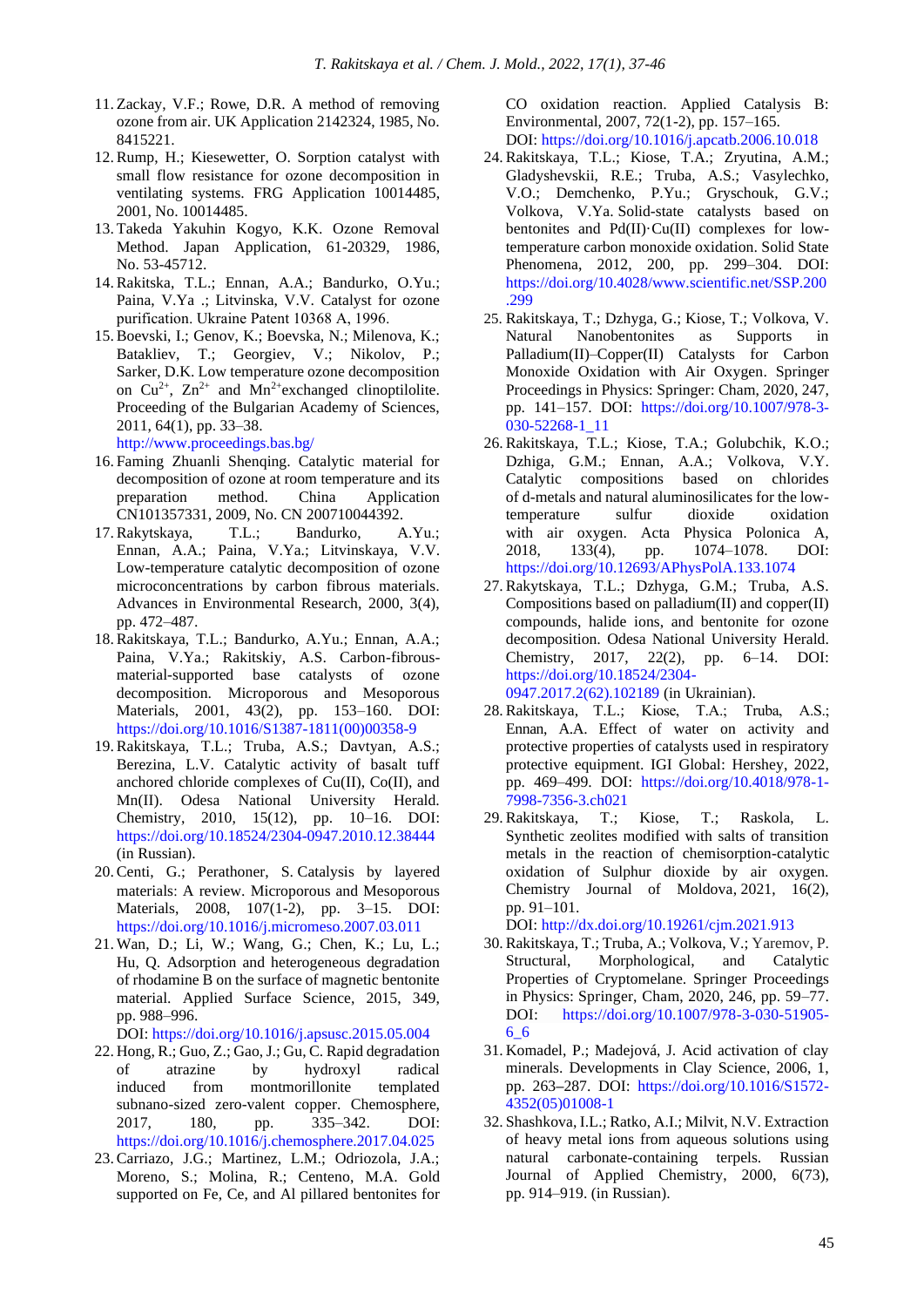- 11. Zackay, V.F.; Rowe, D.R. A method of removing ozone from air. UK Application 2142324, 1985, No. 8415221.
- 12.Rump, H.; Kiesewetter, O. Sorption catalyst with small flow resistance for ozone decomposition in ventilating systems. FRG Application 10014485, 2001, No. 10014485.
- 13. Takeda Yakuhin Kogyo, K.K. Ozone Removal Method. Japan Application, 61-20329, 1986, No. 53-45712.
- 14.Rakitska, T.L.; Ennan, A.A.; Bandurko, O.Yu.; Paina, V.Ya .; Litvinska, V.V. Catalyst for ozone purification. Ukraine Patent 10368 А, 1996.
- 15.Boevski, I.; Genov, K.; Boevska, N.; Milenova, K.; Batakliev, T.; Georgiev, V.; Nikolov, P.; Sarker, D.K. Low temperature ozone decomposition on  $Cu^{2+}$ ,  $Zn^{2+}$  and  $Mn^{2+}$  exchanged clinoptilolite. Proceeding of the Bulgarian Academy of Sciences, 2011, 64(1), pp. 33–38.

<http://www.proceedings.bas.bg/>

- 16. Faming Zhuanli Shenqing. Catalytic material for decomposition of ozone at room temperature and its preparation method. China Application CN101357331, 2009, No. CN 200710044392.<br>Rakytskaya, T.L.; Bandurko, A
- 17.Rakytskaya, T.L.; Bandurko, A.Yu.; Ennan, A.A.; Paina, V.Ya.; Litvinskaya, V.V. Low-temperature catalytic decomposition of ozone microconcentrations by carbon fibrous materials*.* Advances in Environmental Research, 2000, 3(4), pp. 472–487.
- 18.Rakitskaya, T.L.; Bandurko, A.Yu.; Ennan, A.A.; Paina, V.Ya.; Rakitskiy, A.S. Carbon-fibrousmaterial-supported base catalysts of ozone decomposition. Microporous and Mesoporous Materials, 2001, 43(2), pp. 153–160. DOI: [https://doi.org/10.1016/S1387-1811\(00\)00358-9](https://doi.org/10.1016/S1387-1811(00)00358-9)
- 19.Rakitskaya, T.L.; Truba, A.S.; Davtyan, A.S.; Berezina, L.V. Catalytic activity of basalt tuff anchored chloride complexes of Cu(II), Co(II), and Mn(II). Odesa National University Herald. Chemistry, 2010, 15(12), pp. 10–16. DOI: <https://doi.org/10.18524/2304-0947.2010.12.38444> (in Russian).
- 20.Centi, G.; Perathoner, S. Catalysis by layered materials: A review. Microporous and Mesoporous [Materials,](https://www.sciencedirect.com/science/journal/13871811) 2008, 107(1-2), pp. 3–15. DOI: <https://doi.org/10.1016/j.micromeso.2007.03.011>
- 21. Wan, D.; Li, W.; Wang, G.; Chen, K.; Lu, L.; Hu, Q. Adsorption and heterogeneous degradation of rhodamine B on the surface of magnetic bentonite material. Applied Surface Science, 2015, 349, pp. 988–996.

DOI: https://doi.org[/10.1016/j.apsusc.2015.05.004](http://dx.doi.org/10.1016/j.apsusc.2015.05.004)

- 22. Hong, R.; Guo, Z.; Gao, J.; Gu, C. Rapid degradation of atrazine by hydroxyl radical induced from montmorillonite templated subnano-sized zero-valent copper. Chemosphere, 2017, 180, pp. 335–342. DOI: <https://doi.org/10.1016/j.chemosphere.2017.04.025>
- 23.Carriazo, J.G.; Martinez, L.M.; Odriozola, J.A.; [Moreno,](https://www.sciencedirect.com/science/article/pii/S0926337306004449%23!) S.; [Molina,](https://www.sciencedirect.com/science/article/pii/S0926337306004449%23!) R.; [Centeno,](https://www.sciencedirect.com/science/article/pii/S0926337306004449%23!) M.A. Gold supported on Fe, Ce, and Al pillared bentonites for

CO oxidation reaction. Applied Catalysis B: Environmental, 2007, 72(1-2), pp. 157–165. DOI: https://doi.org[/10.1016/j.apcatb.2006.10.018](http://dx.doi.org/10.1016/j.apcatb.2006.10.018)

- 24.Rakitskaya, T.L.; Kiose, T.A.; Zryutina, A.M.; Gladyshevskii, R.E.; Truba, A.S.; Vasylechko, V.O.; Demchenko, P.Yu.; Gryschouk, G.V.; Volkova, V.Ya. Solid-state catalysts based on bentonites and Pd(II)·Cu(II) complexes for lowtemperature carbon monoxide oxidation. Solid State Phenomena, 2012, 200, pp. 299–304. DOI: [https://doi.org/10.4028/www.scientific.net/SSP.200](https://doi.org/10.4028/www.scientific.net/SSP.200.299) [.299](https://doi.org/10.4028/www.scientific.net/SSP.200.299)
- 25. Rakitskaya, T.; Dzhyga, G.; Kiose, T.; Volkova, V. Natural Nanobentonites as Supports in Palladium(II)–Copper(II) Catalysts for Carbon Monoxide Oxidation with Air Oxygen. Springer Proceedings in Physics: Springer: Cham, 2020, 247, pp. 141–157. DOI: [https://doi.org/10.1007/978-3-](https://doi.org/10.1007/978-3-030-52268-1_11) [030-52268-1\\_11](https://doi.org/10.1007/978-3-030-52268-1_11)
- 26.Rakitskaya, T.L.; Kiose, T.A.; Golubchik, K.О.; Dzhiga, G.M.; Ennan, A.A.; Volkova, V.Y. Catalytic compositions based on chlorides of d-metals and natural aluminosilicates for the lowtemperature sulfur dioxide oxidation with air oxygen. Acta Physica Polonica A, 2018, 133(4), pp. 1074–1078. DOI: <https://doi.org/10.12693/APhysPolA.133.1074>
- 27.Rakytskaya, T.L.; Dzhyga, G.M.; Truba, A.S. Compositions based on palladium(II) and copper(II) compounds, halide ions, and bentonite for ozone decomposition*.* Odesa National University Herald. Chemistry, 2017, 22(2), pp. 6–14. DOI: [https://doi.org/10.18524/2304-](https://doi.org/10.18524/2304-0947.2017.2(62).102189) [0947.2017.2\(62\).102189](https://doi.org/10.18524/2304-0947.2017.2(62).102189) (in Ukrainian).
- 28.Rakitskaya, T.L.; Kiose, Т.A.; Truba, A.S.; Ennan, A.A. Effect of water on activity and protective properties of catalysts used in respiratory protective equipment. IGI Global: Hershey, 2022, pp. 469–499. DOI: [https://doi.org/10.4018/978-1-](https://doi.org/10.4018/978-1-7998-7356-3.ch021) [7998-7356-3.ch021](https://doi.org/10.4018/978-1-7998-7356-3.ch021)
- 29[.Rakitskaya, T.;](https://www.scopus.com/authid/detail.uri?authorId=6603665674) [Kiose, T.;](https://www.scopus.com/authid/detail.uri?authorId=26425102600) [Raskola, L.](https://www.scopus.com/authid/detail.uri?authorId=6504594555) Synthetic zeolites modified with salts of transition metals in the reaction of chemisorption-catalytic oxidation of Sulphur dioxide by air oxygen. [Chemistry Journal of Moldova,](https://www.scopus.com/authid/detail.uri?authorId=6603665674%23disabled) 2021, 16(2), pp. 91–101. DOI: [http://dx.doi.org/10.19261/cjm.2021.913](https://cjm.asm.md/synthetic-zeolites-modified-with-salts-of-transition-metals-in-the-reaction-of-chemisorption-catalytic-oxidation-sulphur-dioxide)
- 30.Rakitskaya, T.; Truba, A.; Volkova, V.; Yaremov, P. Structural, Morphological, and Catalytic Properties of Cryptomelane. Springer Proceedings in Physics: Springer, Cham, 2020, 246, pp. 59–77. DOI: [https://doi.org/10.1007/978-3-030-51905-](https://doi.org/10.1007/978-3-030-51905-6_6) [6\\_6](https://doi.org/10.1007/978-3-030-51905-6_6)
- 31. Komadel, P.; Madejová, J. Acid activation of clay minerals. Developments in Clay Science, 2006, 1, pp. 263**–**287. DOI: [https://doi.org/10.1016/S1572-](https://doi.org/10.1016/S1572-4352(05)01008-1) [4352\(05\)01008-1](https://doi.org/10.1016/S1572-4352(05)01008-1)
- 32. Shashkova, I.L.; Ratko, A.I.; Milvit, N.V. Extraction of heavy metal ions from aqueous solutions using natural carbonate-containing terpels. Russian Journal of Applied Chemistry, 2000, 6(73), pp. 914–919. (in Russian).